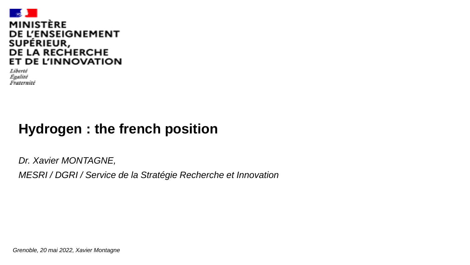

Liberté Evalité Fraternité

### **Hydrogen : the french position**

*Dr. Xavier MONTAGNE, MESRI / DGRI / Service de la Stratégie Recherche et Innovation* 

*Grenoble, 20 mai 2022, Xavier Montagne*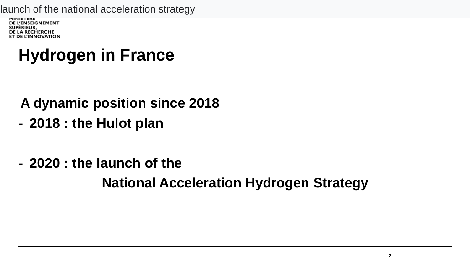launch of the national acceleration strategy

**MINISIEKE** DE L'ENSEIGNEMENT SUPÉRIEUR, **DE LA RECHERCHE** ET DE L'INNOVATION

# **Hydrogen in France**

### **A dynamic position since 2018**

- **2018 : the Hulot plan**
- **2020 : the launch of the**

**National Acceleration Hydrogen Strategy**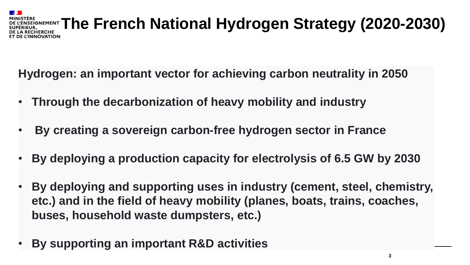#### **EREGNEMENT The French National Hydrogen Strategy (2020-2030)** ECHERCHE **UOITAVONI**

**Hydrogen: an important vector for achieving carbon neutrality in 2050** 

- **Through the decarbonization of heavy mobility and industry**
- **By creating a sovereign carbon-free hydrogen sector in France**
- **By deploying a production capacity for electrolysis of 6.5 GW by 2030**
- **By deploying and supporting uses in industry (cement, steel, chemistry, etc.) and in the field of heavy mobility (planes, boats, trains, coaches, buses, household waste dumpsters, etc.)**
- **By supporting an important R&D activities**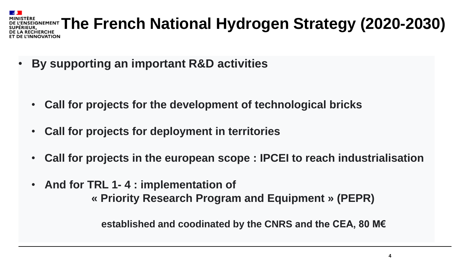#### WERENENENT **The French National Hydrogen Strategy (2020-2030) RECHERCHE** NNOVATION

• **By supporting an important R&D activities**

- **Call for projects for the development of technological bricks**
- **Call for projects for deployment in territories**
- **Call for projects in the european scope : IPCEI to reach industrialisation**
- **And for TRL 1- 4 : implementation of « Priority Research Program and Equipment » (PEPR)**

**established and coodinated by the CNRS and the CEA, 80 M€**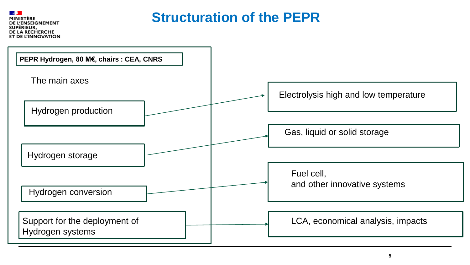**ENSEIGNEMENT** SUPÉRIEUR, DE LA RECHERCHE **DE L'INNOVATION** 

### **Structuration of the PEPR**